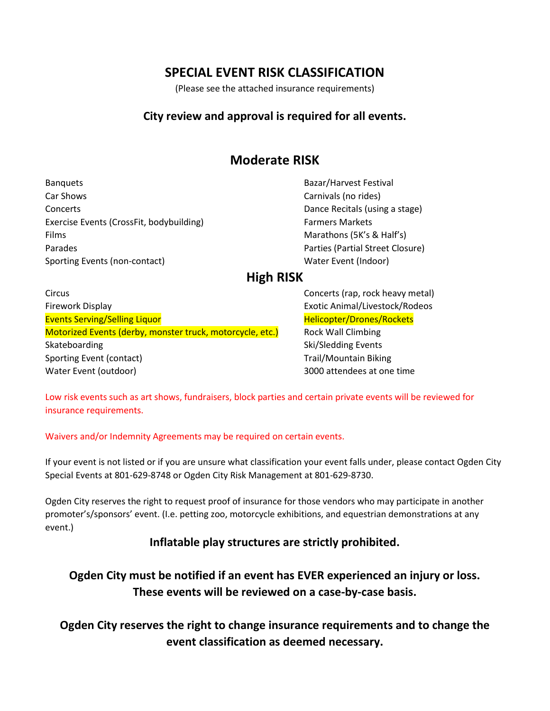# **SPECIAL EVENT RISK CLASSIFICATION**

(Please see the attached insurance requirements)

### **City review and approval is required for all events.**

# **Moderate RISK**

Banquets Bazar/Harvest Festival Car Shows Carnivals (no rides) Concerts Dance Recitals (using a stage) Exercise Events (CrossFit, bodybuilding) Farmers Markets Films Marathons (5K's & Half's) Parades Parties (Partial Street Closure) Sporting Events (non-contact) Mater Event (Indoor) Water Event (Indoor)

### **High RISK**

Circus Concerts (rap, rock heavy metal) Firework Display Exotic Animal/Livestock/Rodeos Events Serving/Selling Liquor New York Helicopter/Drones/Rockets Motorized Events (derby, monster truck, motorcycle, etc.) Rock Wall Climbing Skateboarding Ski/Sledding Events Sporting Event (contact) The Contact of Contact Sporting Event (contact) Trail/Mountain Biking Water Event (outdoor) 3000 attendees at one time

Low risk events such as art shows, fundraisers, block parties and certain private events will be reviewed for insurance requirements.

### Waivers and/or Indemnity Agreements may be required on certain events.

If your event is not listed or if you are unsure what classification your event falls under, please contact Ogden City Special Events at 801-629-8748 or Ogden City Risk Management at 801-629-8730.

Ogden City reserves the right to request proof of insurance for those vendors who may participate in another promoter's/sponsors' event. (I.e. petting zoo, motorcycle exhibitions, and equestrian demonstrations at any event.)

### **Inflatable play structures are strictly prohibited.**

**Ogden City must be notified if an event has EVER experienced an injury or loss. These events will be reviewed on a case-by-case basis.**

**Ogden City reserves the right to change insurance requirements and to change the event classification as deemed necessary.**